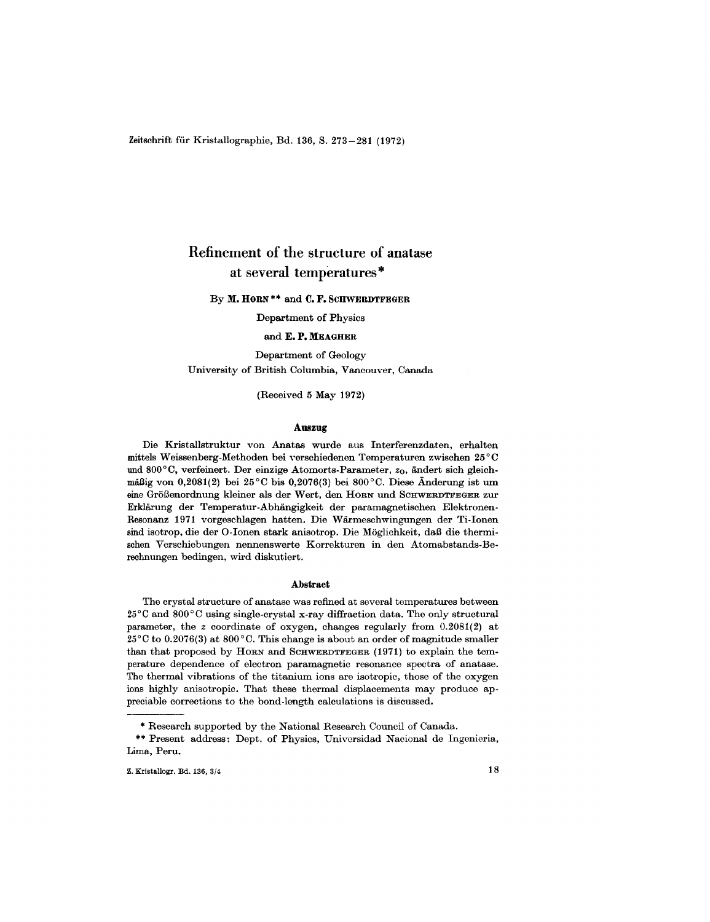Zeitschrift für Kristallographie, Bd. 136, S. 273-281 (1972)

# Refinement of the structure of anatase at several temperatures \*

By M. HORN<sup>\*\*</sup> and C. F. SCHWERDTFEGER

Department of Physics

# and E. P. MEAGHER

Department of Geology University of British Columbia, Vancouver, Canada

(Received 5 May 1972)

#### Auszug

Die Kristallstruktur von Anatas wurde aus Interferenzdaten, erhalten mittels Weissenberg-Methoden bei yerschiedenen Temperaturen zwischen 25°C und 800°C, verfeinert. Der einzige Atomorts-Parameter, *Zo,* andert sich gleichmäßig von 0,2081(2) bei 25°C bis 0,2076(3) bei 800°C. Diese Änderung ist um eine Größenordnung kleiner als der Wert, den HORN und SCHWERDTFEGER zur Erklarung der Temperatur-Abhangigkeit der paramagnetischen Elektronen-Resonanz 1971 vorgeschlagen hatten. Die Warmeschwingungen der Ti-Ionen sind isotrop, die der O-Ionen stark anisotrop. Die Moglichkeit, daB die thermischen Verschiebungen nennenswerte Korrekturen in den Atomabstands-Berechnungen bedingen, wird diskutiert.

#### Abstract

The crystal structure of anatase was refined at several temperatures between 25°C and 800°C using single-crystal x-ray diffraction data. The only structural parameter, the *z* coordinate of oxygen, changes regularly from 0.2081(2) at 25°C to 0.2076(3) at 800°C. This change is about an order of magnitude smaller than that proposed by HORN and SCHWERDTFEGER (1971) to explain the temperature dependence of electron paramagnetic resonance spectra of anatase. The thermal vibrations of the titanium ions are isotropic, those of the oxygen ions highly anisotropic. That these thermal displacements may produce appreciable corrections to the bond-length calculations is discussed.

Research supported by the National Research Council of Canada.

<sup>\*\*</sup> Present address: Dept. of Physics, Univorsidad Nacional de Ingenier Lima, Peru.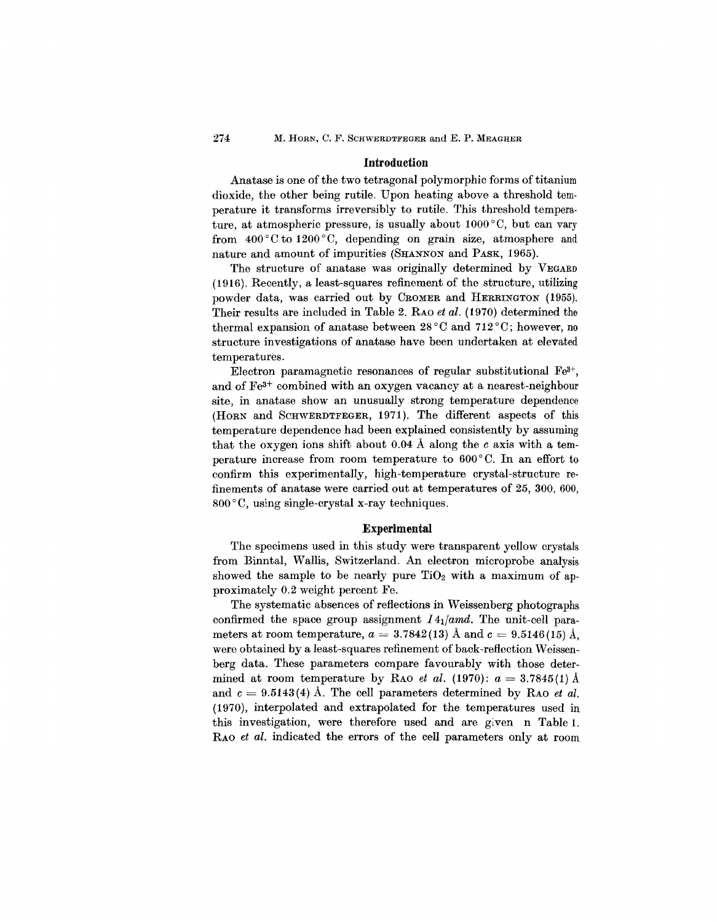### **Introduction**

Anatase is one of the two tetragonal polymorphic forms of titanium dioxide, the other being rutile. Upon heating above a threshold temperature it transforms irreversibly to rutile. This threshold temperature, at atmospheric pressure, is usually about 1000 °C, but can vary from  $400^{\circ}$ C to  $1200^{\circ}$ C, depending on grain size, atmosphere and nature and amount of impurities (SHANNON and PASK, 1965).

The structure of anatase was originally determined by VEGARD (1916). Recently, a least-squares refinement of the structure, utilizing powder data, was carried out by CROMERand HERRINGTON (1955). Their results are included in Table 2. RAO *et al.* (1970) determined the thermal expansion of anatase between 28°C and 712°C; however, no structure investigations of anatase have been undertaken at elevated temperatures.

Electron paramagnetic resonances of regular substitutional  $Fe^{3+}$ , and of Fe3+ combined with an oxygen vacancy at a nearest-neighbour site, in anatase show an unusually strong temperature dependence (HORN and SCHWERDTFEGER, 1971). The different aspects of this temperature dependence had been explained consistently by assuming that the oxygen ions shift about 0.04 Å along the  $c$  axis with a temperature increase from room temperature to 600 °C. In an effort to confirm this experimentally, high-temperature crystal-structure refinements of anatase were carried out at temperatures of 25, 300, 600, 800°C, using single-crystal x-ray techniques.

## **Experimental**

The specimens used in this study were transparent yellow crystals from Binntal, Wallis, Switzerland. An electron microprobe analysis showed the sample to be nearly pure  $TiO<sub>2</sub>$  with a maximum of approximately 0.2 weight percent Fe.

The systematic absences of reflections in Weissenberg photographs confirmed the space group assignment *141/amd.* The unit-cell parameters at room temperature,  $a = 3.7842(13)~\mathrm{\AA}$  and  $c = 9.5146(15)~\mathrm{\AA},$ were obtained by a least-squares refinement of back-reflection Weissenberg data. These parameters compare favourably with those determined at room temperature by RAO *et al*. (1970):  $a = 3.7845(1)$  Å and  $c = 9.5143(4)$  Å. The cell parameters determined by RAO *et al.* (1970), interpolated and extrapolated for the temperatures used in this investigation, were therefore used and are given  $n$  Table 1. RAO *et al.* indicated the errors of the cell parameters only at room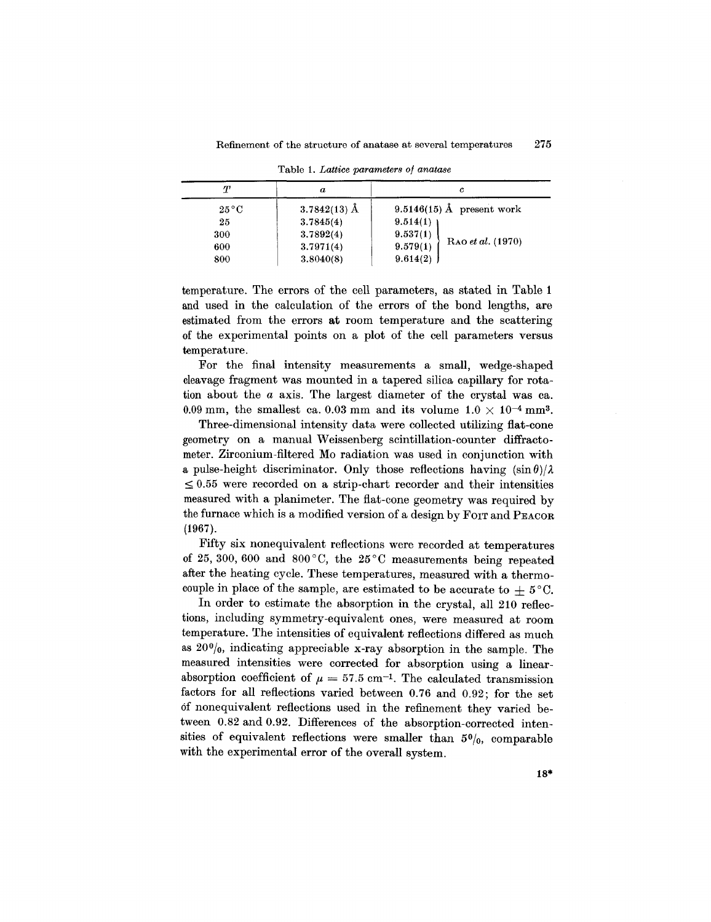| $\tau$<br>$\boldsymbol{a}$ |                | с                             |  |  |
|----------------------------|----------------|-------------------------------|--|--|
| $25^{\circ}$ C             | $3.7842(13)$ Å | 9.5146(15) Å present work     |  |  |
| 25                         | 3.7845(4)      | 9.514(1)                      |  |  |
| 300                        | 3.7892(4)      | 9.537(1)                      |  |  |
| 600                        | 3.7971(4)      | RAO et al. (1970)<br>9.579(1) |  |  |
| 800                        | 3.8040(8)      | 9.614(2)                      |  |  |

Table 1. *Lattice parameters of anatase*

temperature. The errors of the cell parameters, as stated in Table 1 and used in the calculation of the errors of the bond lengths, are estimated from the errors at room temperature and the scattering of the experimental points on a plot of the cell parameters versus temperature.

For the final intensity measurements a small, wedge-shaped cleavage fragment was mounted in a tapered silica capillary for rotation about the *a* axis. The largest diameter of the crystal was ca. 0.09 mm, the smallest ca. 0.03 mm and its volume  $1.0 \times 10^{-4}$  mm<sup>3</sup>.

Three-dimensional intensity data were collected utilizing flat-eone geometry on a manual Weissenberg scintillation-counter diffractometer. Zirconium-filtered Mo radiation was used in conjunction with a pulse-height discriminator. Only those reflections having  $(\sin \theta)/\lambda$  $\leq 0.55$  were recorded on a strip-chart recorder and their intensities measured with a planimeter. The flat-cone geometry was required by the furnace which is a modified version of a design by FOIT and PEACOR (1967).

Fifty six nonequivalent reflections were recorded at temperatures of 25, 300, 600 and 800°C, the  $25^{\circ}$ C measurements being repeated after the heating cycle. These temperatures, measured with a thermocouple in place of the sample, are estimated to be accurate to  $\pm$  5°C.

In order to estimate the absorption in the crystal, all 210 reflections, including symmetry-equivalent ones, were measured at room temperature. The intensities of equivalent reflections differed as much as  $20\%$ , indicating appreciable x-ray absorption in the sample. The measured intensities were corrected for absorption using a linearabsorption coefficient of  $\mu = 57.5$  cm<sup>-1</sup>. The calculated transmission factors for all reflections varied between 0.76 and 0.92; for the set of nonequivalent reflections used in the refinement they varied between 0.82 and 0.92. Differences of the absorption-corrected intensities of equivalent reflections were smaller than  $50/0$ , comparable with the experimental error of the overall system.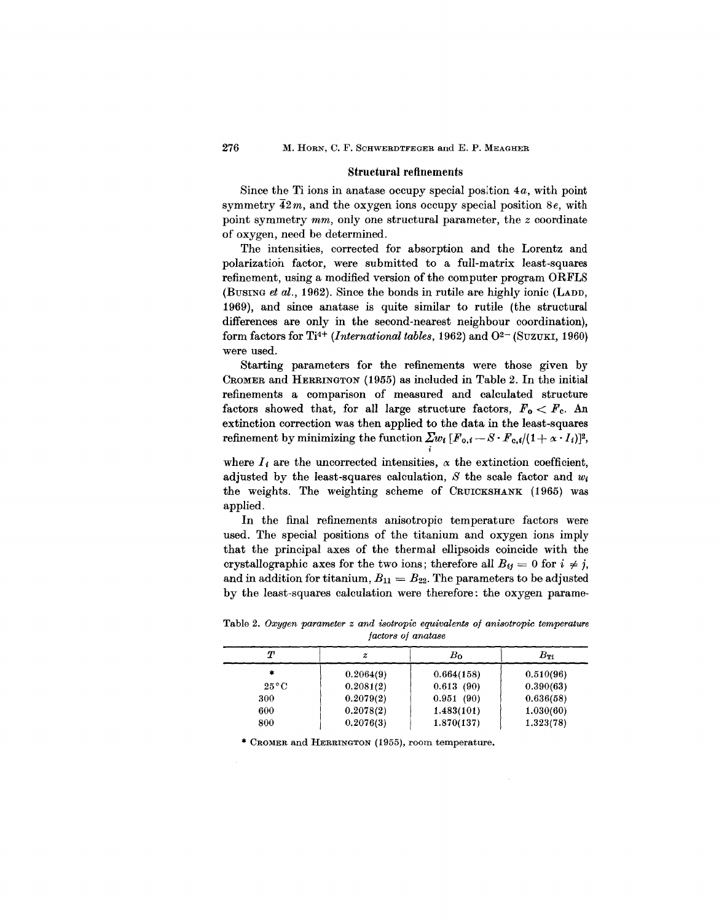#### **Structural** refinements

Since the Ti ions in anatase occupy special position *4a,* with point symmetry *42m,* and the oxygen ions occupy special position *8e,* with point symmetry *mm,* only one structural parameter, the *z* coordinate of oxygen, need be determined.

The intensities, corrected for absorption and the Lorentz and polarization factor, were submitted to a full-matrix least-squares refinement, using a modified version of the computer program ORFLS (BuSING *et al.,* 1962). Since the bonds in rutile are highly ionic (LADD, 1969), and since anatase is quite similar to rutile (the structural differences are only in the second-nearest neighbour coordination), form factors for Ti<sup>4+</sup> *(International tables,* 1962) and  $O^{2-}$  *(SUZUKI, 1960)* were used.

Starting parameters for the refinements were those given by CROMERand HERRINGTON (1955) as included in Table 2. In the initial refinements a comparison of measured and calculated structure factors showed that, for all large structure factors,  $F_0 \leq F_c$ . An extinction correction was then applied to the data in the least-squares refinement by minimizing the function  $\sum w_i [F_{0,i} - S \cdot F_{c,i} / (1 + \alpha \cdot I_i)]^2$ , i

where  $I_i$  are the uncorrected intensities,  $\alpha$  the extinction coefficient, adjusted by the least-squares calculation, S the scale factor and  $w_i$ the weights. The weighting scheme of CRUICKSHANK (1965) was applied.

In the final refinements anisotropic temperature factors were used. The special positions of the titanium and oxygen ions imply that the principal axes of the thermal ellipsoids coincide with the crystallographic axes for the two ions; therefore all  $B_{ij} = 0$  for  $i \neq j$ , and in addition for titanium,  $B_{11} = B_{22}$ . The parameters to be adjusted by the least-squares calculation were therefore: the oxygen parame-

|                | .         |            |              |  |  |
|----------------|-----------|------------|--------------|--|--|
| Т              | z         | $B_0$      | $B_{\rm TI}$ |  |  |
| 宭              | 0.2064(9) | 0.664(158) | 0.510(96)    |  |  |
| $25^{\circ}$ C | 0.2081(2) | 0.613(90)  | 0.390(63)    |  |  |
| 300            | 0.2079(2) | 0.951(90)  | 0.636(58)    |  |  |
| 600            | 0.2078(2) | 1.483(101) | 1.030(60)    |  |  |
| 800            | 0.2076(3) | 1.870(137) | 1.323(78)    |  |  |

Table 2. Oxygen *parameter z and isotropic equivalents of anisotropic temperature factors of anatase*

\* CROMER and HERRINGTON (1955), room temperature.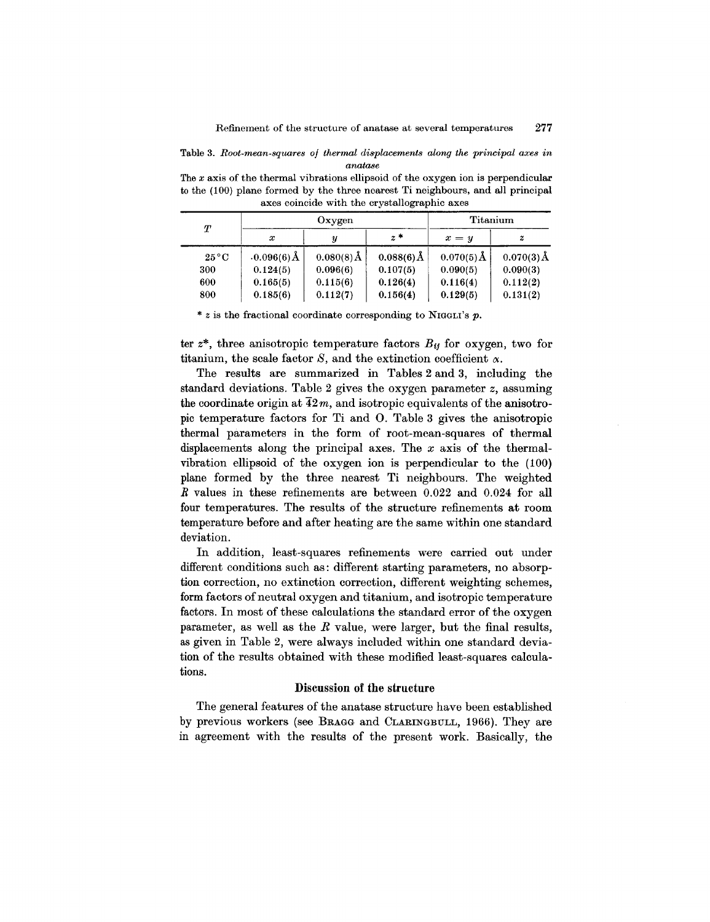Table 3. *Root-mean-squares of thermal displacements along the principal axes in anatase*

The *x* axis of the thermal vibrations ellipsoid of the oxygen ion is perpendicular to the (100) plane formed by the three nearest Ti neighbours, and all principal axes coincide with the crystallographic axes

| Т              | Oxygen           |                        |               | Titanium     |              |
|----------------|------------------|------------------------|---------------|--------------|--------------|
|                | $\boldsymbol{x}$ |                        | $z*$          | $x = y$      | z            |
| $25^{\circ}$ C | $0.096(6)$ Å     | $0.080(8)\text{\AA}$ , | $0.088(6)\AA$ | $0.070(5)$ Å | $0.070(3)$ Å |
| 300            | 0.124(5)         | 0.096(6)               | 0.107(5)      | 0.090(5)     | 0.090(3)     |
| 600            | 0.165(5)         | 0.115(6)               | 0.126(4)      | 0.116(4)     | 0.112(2)     |
| 800            | 0.185(6)         | 0.112(7)               | 0.156(4)      | 0.129(5)     | 0.131(2)     |

*\* z* is the fractional coordinate corresponding to NIGGLI'S *p.*

ter  $z^*$ , three anisotropic temperature factors  $B_{ij}$  for oxygen, two for titanium, the scale factor  $S$ , and the extinction coefficient  $\alpha$ .

The results are summarized in Tables 2 and 3, including the standard deviations. Table 2 gives the oxygen parameter *z,* assuming the coordinate origin at  $\overline{42}m$ , and isotropic equivalents of the anisotropic temperature factors for Ti and O. Table 3 gives the anisotropic thermal parameters in the form of root-mean-squares of thermal displacements along the principal axes. The *x* axis of the thermalvibration ellipsoid of the oxygen ion is perpendicular to the (100) plane formed by the three nearest Ti neighbours. The weighted *R* values in these refinements are between 0.022 and 0.024 for all four temperatures. The results of the structure refinements at room temperature before and after heating are the same within one standard deviation.

In addition, least-squares refinements were carried out under different conditions such as: different starting parameters, no absorption correction, no extinction correction, different weighting schemes, form factors of neutral oxygen and titanium, and isotropic temperature factors. In most of these calculations the standard error of the oxygen parameter, as well as the *R* value, were larger, but the final results, as given in Table 2, were always included within one standard deviation of the results obtained with these modified least-squares calculations.

# Discussion of the structure

The general features of the anatase structure have been established by previous workers (see BRAGG and CLARINGBULL,1966). They are in agreement with the results of the present work. Basically, the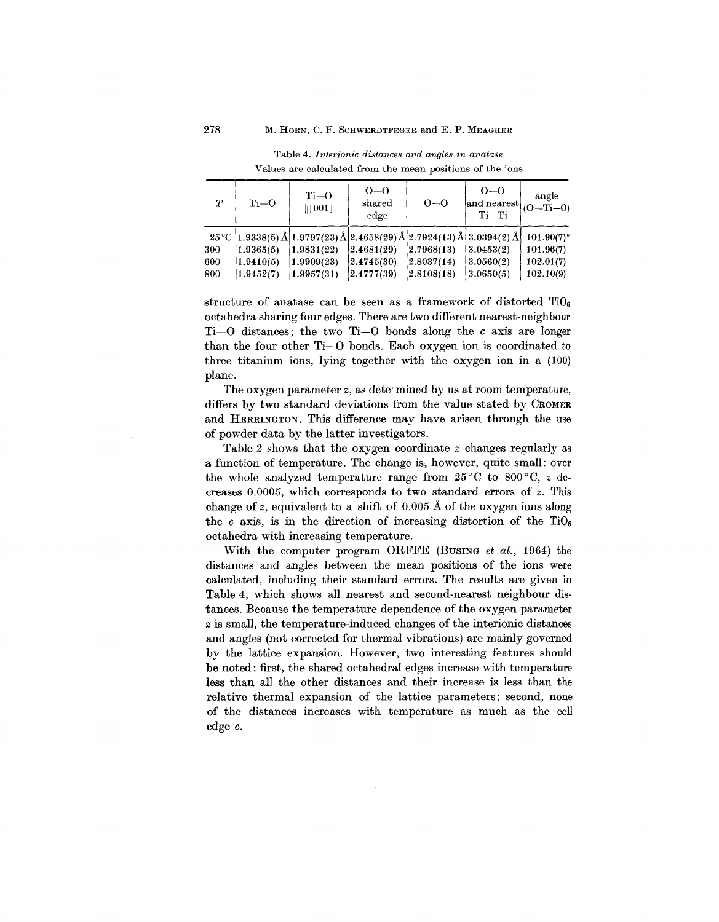| T   | $Ti-0$    | $Ti-O$<br>$\parallel$ [001] | $0 - 0$<br>shared<br>edge                                                               | $0 - 0$      | $0 - 0$<br>$\vert$ and nearest $\vert$ (O-Ti-0)<br>$Ti-Ti$ | angle         |
|-----|-----------|-----------------------------|-----------------------------------------------------------------------------------------|--------------|------------------------------------------------------------|---------------|
|     |           |                             | $25^{\circ}$ C   1.9338(5) Å   1.9797(23) Å   2.4658(29) Å   2.7924(13) Å   3.0394(2) Å |              |                                                            | $101.90(7)$ ° |
| 300 | 1.9365(5) | (1.9831(22))                | 2.4681(29)                                                                              | (2.7968(13)) | 3.0453(2)                                                  | 101.96(7)     |
| 600 | 1.9410(5) | (1.9909(23))                | 2.4745(30)                                                                              | 2.8037(14)   | 3.0560(2)                                                  | 102.01(7)     |
| 800 | 1.9452(7) | 1.9957(31)                  | 2.4777(39)                                                                              | (2.8108(18)) | 3.0650(5)                                                  | 102.10(9)     |

Table 4. *lnterionic di8tance8 and angle8 in anata8e* Values are calculated from the mean positions of the ions

structure of anatase can be seen as a framework of distorted  $TiO<sub>6</sub>$ octahedra sharing four edges. There are two different nearest-neighbour Ti-O distances; the two Ti-O bonds along the *c* axis are longer than the four other Ti-O bonds. Each oxygen ion is coordinated to three titanium ions, lying together with the oxygen ion in a (100) plane.

The oxygen parameter *z*, as determined by us at room temperature, differs by two standard deviations from the value stated by CROMER and HERRINGTON. This difference may have arisen through the use of powder data by the latter investigators.

Table 2 shows that the oxygen coordinate *z* changes regularly as a function of temperature. The change is, however, quite small: over the whole analyzed temperature range from 25 °C to 800 °C, *z* decreases 0.0005, which corresponds to two standard errors of *z.* This change of *z,* equivalent to a shift of 0.005 A of the oxygen ions along the *c* axis, is in the direction of increasing distortion of the  $TiO_6$ octahedra with increasing temperature.

With the computer program ORFFE (BUSING *et al.,* 1964) the distances and angles between the mean positions of the ions were calculated, including their standard errors. The results are given in Table 4, which shows all nearest and second-nearest neighbour distances. Because the temperature dependence of the oxygen parameter *z* is small, the temperature-induced changes of the interionic distances and angles (not corrected for thermal vibrations) are mainly governed by the lattice expansion. However, two interesting features should be noted: first, the shared octahedral edges increase with temperature less than all the other distances and their increase is less than the relative thermal expansion of the lattice parameters; second, none of the distances increases with temperature as much as the cell edge c.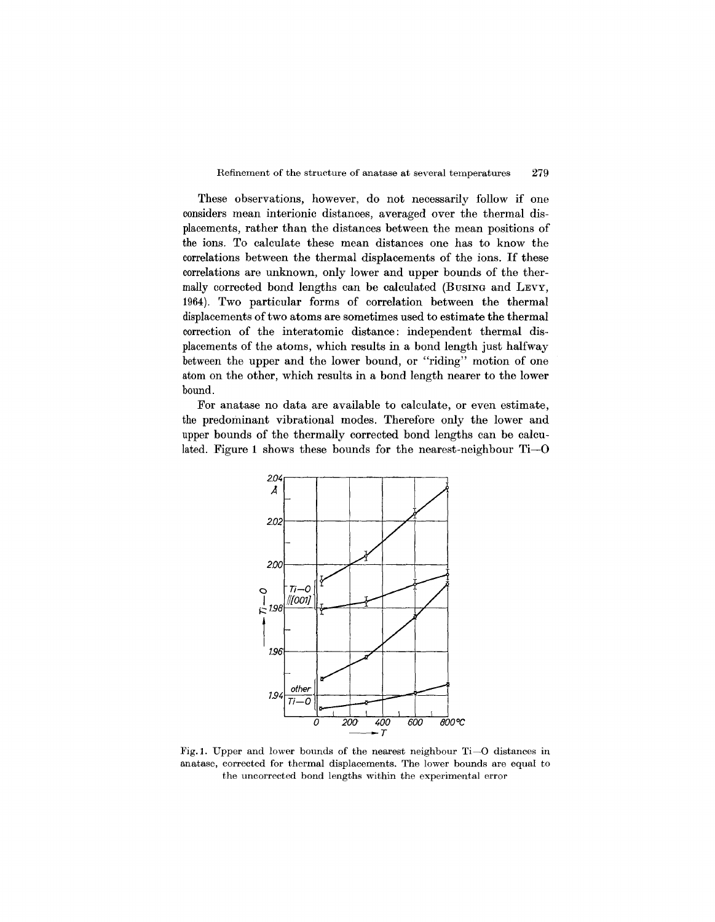These observations, however, do not necessarily follow if one considers mean interionic distances, averaged over the thermal displacements, rather than the distances between the mean positions of the ions. To calculate these mean distances one has to know the correlations between the thermal displacements of the ions. If these correlations are unknown, only lower and upper bounds of the thermally corrected bond lengths can be calculated (BUSING and LEVY, 1964). Two particular forms of correlation between the thermal displacements of two atoms are sometimes used to estimate the thermal correction of the interatomic distance: independent thermal displacements of the atoms, which results in a bond length just halfway between the upper and the lower bound, or "riding" motion of one atom on the other, which results in a bond length nearer to the lower bound.

For anatase no data are available to calculate, or even estimate, the predominant vibrational modes. Therefore only the lower and upper bounds of the thermally corrected bond lengths can be calculated. Figure 1 shows these bounds for the nearest-neighbour Ti-O



Fig.I. Upper and lower bounds of the nearest neighbour Ti-O distances in anatase, corrected for thermal displacements. The lower bounds are equal to the uncorrected bond lengths within the experimental error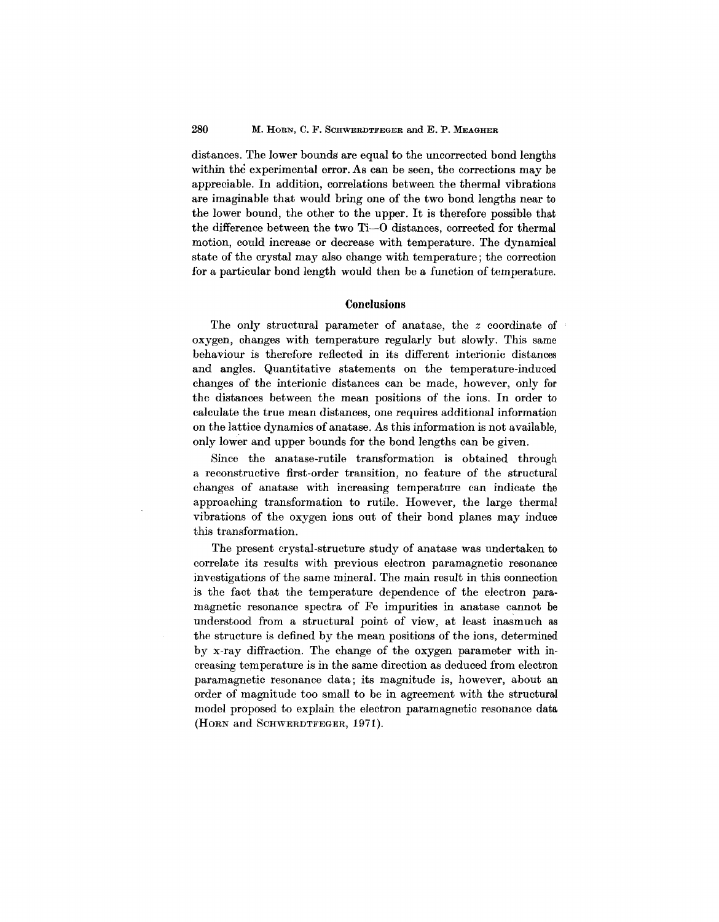distances. The lower bounds are equal to the uncorrected bond lengths within the experimental error. As can be seen, the corrections may be appreciable. In addition, correlations between the thermal vibrations are imaginable that would bring one of the two bond lengths near to the lower bound, the other to the upper. It is therefore possible that the difference between the two Ti-O distances, corrected for thermal motion, could increase or decrease with temperature. The dynamical state of the crystal may also change with temperature; the correction for a particular bond length would then be a function of temperature.

## **Conclusions**

The only structural parameter of anatase, the *z* coordinate of oxygen, changes with temperature regularly but slowly. This same behaviour is therefore reflected in its different interionic distances and angles. Quantitative statements on the temperature-induced changes of the interionic distances can be made, however, only for the distances between the mean positions of the ions. In order to calculate the true mean distances, one requires additional information on the lattice dynamics of anatase. As this information is not available, only lower and upper bounds for the bond lengths can be given.

Since the anatase-rutile transformation is obtained through a reconstructive first-order transition, no feature of the structural changes of anatase with increasing temperature can indicate the approaching transformation to rutile. However, the large thermal vibrations of the oxygen ions out of their bond planes may induce this transformation.

The present crystal-structure study of anatase was undertaken to correlate its results with previous electron paramagnetic resonance investigations of the same mineral. The main result in this connection is the fact that the temperature dependence of the electron paramagnetic resonance spectra of Fe impurities in anatase cannot be understood from a structural point of view, at least inasmuch as the structure is defined by the mean positions of the ions, determined by x-ray diffraction. The change of the oxygen parameter with increasing temperature is in the same direction as deduced from electron paramagnetic resonance data; its magnitude is, however, about an order of magnitude too small to be in agreement with the structural model proposed to explain the electron paramagnetic resonance data (HORN and SCHWERDTFEGER,1971).